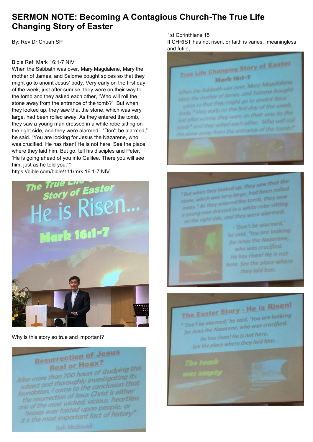### **SERMON NOTE: Becoming A Contagious Church-The True Life Changing Story of Easter**

By: Rev Dr Chuah SP

#### Bible Ref: Mark 16:1-7 NIV

When the Sabbath was over, Mary Magdalene, Mary the mother of James, and Salome bought spices so that they might go to anoint Jesus' body. Very early on the first day of the week, just after sunrise, they were on their way to the tomb and they asked each other, "Who will roll the stone away from the entrance of the tomb?" But when they looked up, they saw that the stone, which was very large, had been rolled away. As they entered the tomb, they saw a young man dressed in a white robe sitting on the right side, and they were alarmed. "Don't be alarmed," he said. "You are looking for Jesus the Nazarene, who was crucified. He has risen! He is not here. See the place where they laid him. But go, tell his disciples and Peter, 'He is going ahead of you into Galilee. There you will see him, just as he told you.'"



Why is this story so true and important?



#### 1st Corinthians 15

If CHRIST has not risen, or faith is varies, meaningless and futile,



.<br>But when they looked up, they saw that the s But when they looked up, they saw in rolled s But when they wery large, had been<br>stone, which was very large, tomb, they saw<br>away. <sup>F</sup> As they entered the tomb, the sitting stone, which was entered the tomb, they sure<br>away. <sup>F</sup> As they entered the white robe sitting<br>a young man dressed in a white robe sitting way.<br>young man dressed in a white roomed.<br>an the right side, and they were alarmed.



· 'Don't be alarmed,' he said. You are looking for Jesus the Nazarene, who was crucified. He has risen! He is not here. See the place where they laid him.

The Easter Story - He is Risen! The Easter Story<br>"Don't be alarmed,' he said. 'You are looking<br>"Don't be alarmed,' he said. 'You are crucified. "Don't be alarmed," he said. "You are unified."<br>for Jesus the Nazarene, who was crucified. He has risen! He is not here. He has risent me is not laid him.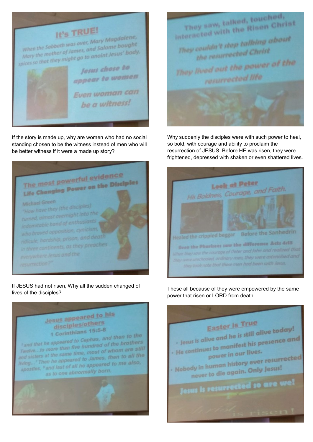

If the story is made up, why are women who had no social standing chosen to be the witness instead of men who will be better witness if it were a made up story?



If JESUS had not risen, Why all the sudden changed of lives of the disciples?





Why suddenly the disciples were with such power to heal, so bold, with courage and ability to proclaim the resurrection of JESUS. Before HE was risen, they were frightened, depressed with shaken or even shattered lives.



These all because of they were empowered by the same power that risen or LORD from death.

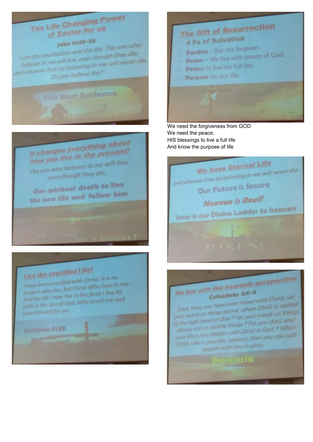## The Life Changing Power of Easter for us

John 11:25-26

I am the resurrection and the life. The one who believes in me will live, even though they die; whoever lives by believing in me will never die. Do you believe this?"

The Best Evidence

It changes everything about how you live in the present! The one who believes in me will live, even though they die;

Our spiritual death to live the new life and follow him

## Live the crucified Life!

I have been crucified with Christ. It is no longer ! who live, but Christ Who lives in me. And the life I now live in the flesh I live by faith in the Son of God, Who loved me and gave Himself for me.

Golotions 9:20



We need the forgiveness from GOD We need the peace, HIS blessings to live a full life And know the purpose of life



# We live with the heavenly perspective

Colossiant 3:1-4 Since, then, you have been raised with Christ, set your hearts on things above, where Christ is, seated at the right hand of God, <sup>a</sup> Set your minds on things above, not on earthly things.<sup>8</sup> For you died, and your life is now hidden with Christ in God. . When Christ, who is your life, appears, then you also will

appear with him in glory.